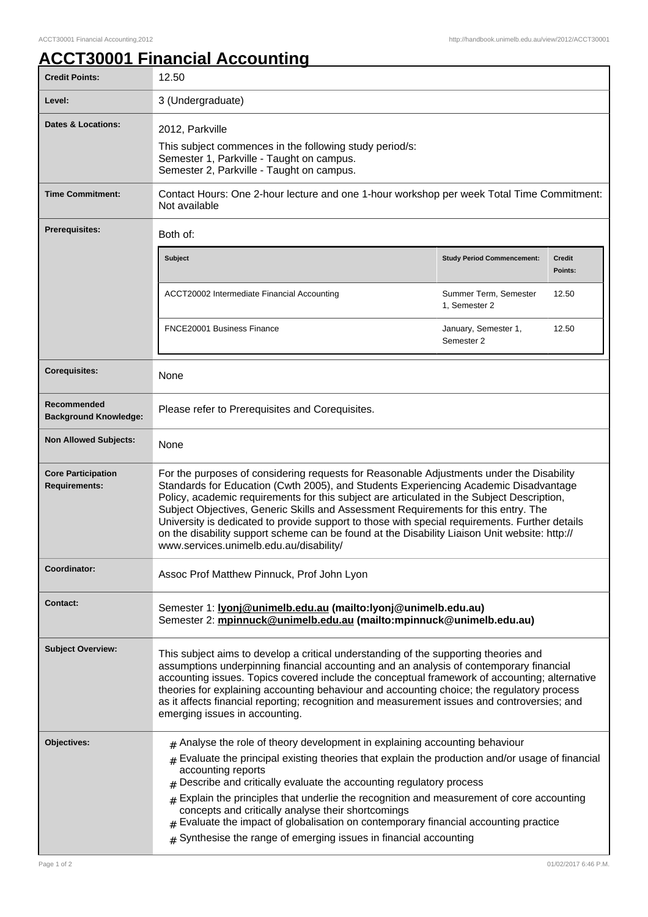## **ACCT30001 Financial Accounting**

| <b>Credit Points:</b>                             | 12.50                                                                                                                                                                                                                                                                                                                                                                                                                                                                                                                                                                                                                  |                                        |                          |
|---------------------------------------------------|------------------------------------------------------------------------------------------------------------------------------------------------------------------------------------------------------------------------------------------------------------------------------------------------------------------------------------------------------------------------------------------------------------------------------------------------------------------------------------------------------------------------------------------------------------------------------------------------------------------------|----------------------------------------|--------------------------|
| Level:                                            | 3 (Undergraduate)                                                                                                                                                                                                                                                                                                                                                                                                                                                                                                                                                                                                      |                                        |                          |
| <b>Dates &amp; Locations:</b>                     | 2012, Parkville<br>This subject commences in the following study period/s:<br>Semester 1, Parkville - Taught on campus.<br>Semester 2, Parkville - Taught on campus.                                                                                                                                                                                                                                                                                                                                                                                                                                                   |                                        |                          |
| <b>Time Commitment:</b>                           | Contact Hours: One 2-hour lecture and one 1-hour workshop per week Total Time Commitment:<br>Not available                                                                                                                                                                                                                                                                                                                                                                                                                                                                                                             |                                        |                          |
| <b>Prerequisites:</b>                             | Both of:                                                                                                                                                                                                                                                                                                                                                                                                                                                                                                                                                                                                               |                                        |                          |
|                                                   | <b>Subject</b>                                                                                                                                                                                                                                                                                                                                                                                                                                                                                                                                                                                                         | <b>Study Period Commencement:</b>      | <b>Credit</b><br>Points: |
|                                                   | ACCT20002 Intermediate Financial Accounting                                                                                                                                                                                                                                                                                                                                                                                                                                                                                                                                                                            | Summer Term, Semester<br>1, Semester 2 | 12.50                    |
|                                                   | FNCE20001 Business Finance                                                                                                                                                                                                                                                                                                                                                                                                                                                                                                                                                                                             | January, Semester 1,<br>Semester 2     | 12.50                    |
| <b>Corequisites:</b>                              | None                                                                                                                                                                                                                                                                                                                                                                                                                                                                                                                                                                                                                   |                                        |                          |
| Recommended<br><b>Background Knowledge:</b>       | Please refer to Prerequisites and Corequisites.                                                                                                                                                                                                                                                                                                                                                                                                                                                                                                                                                                        |                                        |                          |
| <b>Non Allowed Subjects:</b>                      | None                                                                                                                                                                                                                                                                                                                                                                                                                                                                                                                                                                                                                   |                                        |                          |
| <b>Core Participation</b><br><b>Requirements:</b> | For the purposes of considering requests for Reasonable Adjustments under the Disability<br>Standards for Education (Cwth 2005), and Students Experiencing Academic Disadvantage<br>Policy, academic requirements for this subject are articulated in the Subject Description,<br>Subject Objectives, Generic Skills and Assessment Requirements for this entry. The<br>University is dedicated to provide support to those with special requirements. Further details<br>on the disability support scheme can be found at the Disability Liaison Unit website: http://<br>www.services.unimelb.edu.au/disability/     |                                        |                          |
| Coordinator:                                      | Assoc Prof Matthew Pinnuck, Prof John Lyon                                                                                                                                                                                                                                                                                                                                                                                                                                                                                                                                                                             |                                        |                          |
| <b>Contact:</b>                                   | Semester 1: lyonj@unimelb.edu.au (mailto:lyonj@unimelb.edu.au)<br>Semester 2: mpinnuck@unimelb.edu.au (mailto:mpinnuck@unimelb.edu.au)                                                                                                                                                                                                                                                                                                                                                                                                                                                                                 |                                        |                          |
| <b>Subject Overview:</b>                          | This subject aims to develop a critical understanding of the supporting theories and<br>assumptions underpinning financial accounting and an analysis of contemporary financial<br>accounting issues. Topics covered include the conceptual framework of accounting; alternative<br>theories for explaining accounting behaviour and accounting choice; the regulatory process<br>as it affects financial reporting; recognition and measurement issues and controversies; and<br>emerging issues in accounting.                                                                                                       |                                        |                          |
| Objectives:                                       | $*$ Analyse the role of theory development in explaining accounting behaviour<br>Evaluate the principal existing theories that explain the production and/or usage of financial<br>$\pm$<br>accounting reports<br>Describe and critically evaluate the accounting regulatory process<br>#<br>Explain the principles that underlie the recognition and measurement of core accounting<br>$\pm$<br>concepts and critically analyse their shortcomings<br>Evaluate the impact of globalisation on contemporary financial accounting practice<br>#<br>Synthesise the range of emerging issues in financial accounting<br># |                                        |                          |